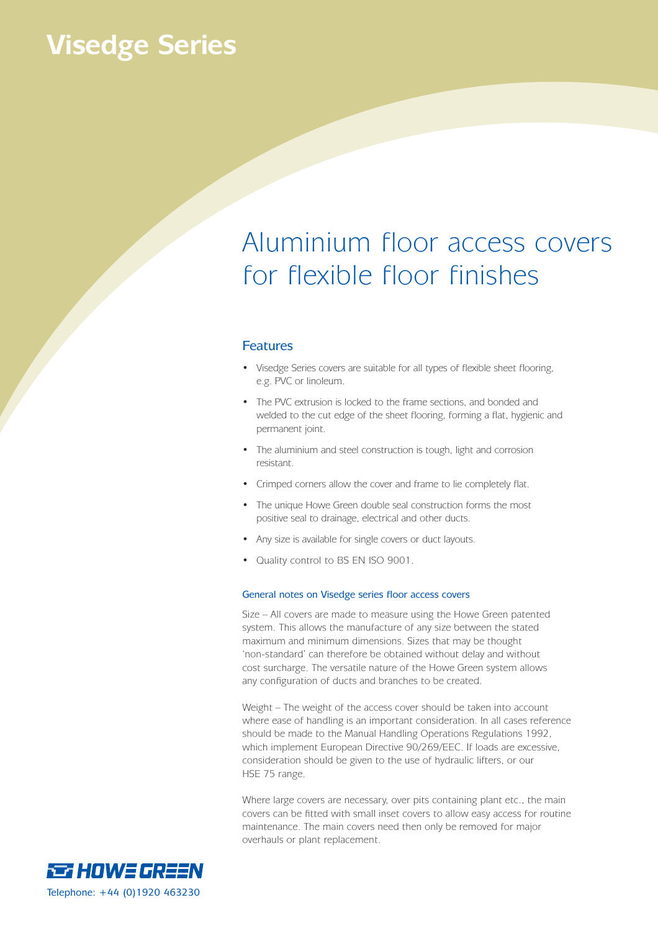## **Visedge Series**

## Aluminium floor access covers for flexible floor finishes

#### Features

- Visedge Series covers are suitable for all types of flexible sheet flooring, e.g. PVC or linoleum.
- The PVC extrusion is locked to the frame sections, and bonded and welded to the cut edge of the sheet flooring, forming a flat, hygienic and permanent joint.
- The aluminium and steel construction is tough, light and corrosion resistant.
- Crimped corners allow the cover and frame to lie completely flat.
- The unique Howe Green double seal construction forms the most positive seal to drainage, electrical and other ducts.
- Any size is available for single covers or duct layouts.
- Quality control to BS EN ISO 9001.

#### General notes on Visedge series floor access covers

Size – All covers are made to measure using the Howe Green patented system. This allows the manufacture of any size between the stated maximum and minimum dimensions. Sizes that may be thought 'non-standard' can therefore be obtained without delay and without cost surcharge. The versatile nature of the Howe Green system allows any configuration of ducts and branches to be created.

Weight – The weight of the access cover should be taken into account where ease of handling is an important consideration. In all cases reference should be made to the Manual Handling Operations Regulations 1992, which implement European Directive 90/269/EEC. If loads are excessive, consideration should be given to the use of hydraulic lifters, or our HSE 75 range.

Where large covers are necessary, over pits containing plant etc., the main covers can be fitted with small inset covers to allow easy access for routine maintenance. The main covers need then only be removed for major overhauls or plant replacement.

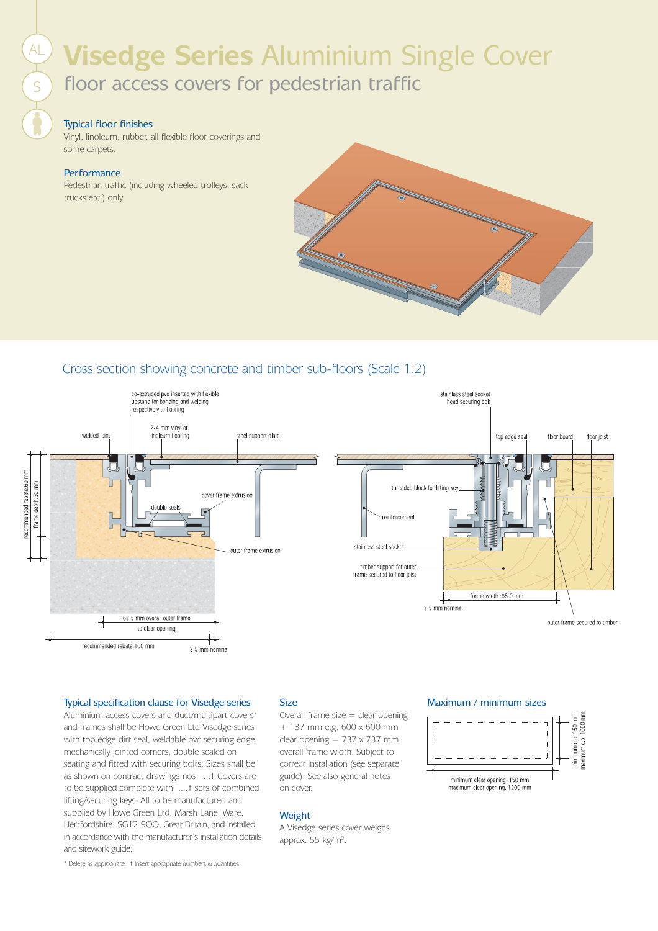# **Visedge Series** Aluminium Single Cover AL

floor access covers for pedestrian traffic

#### Typical floor finishes

Vinyl, linoleum, rubber, all flexible floor coverings and some carpets.

#### **Performance**

S

Pedestrian traffic (including wheeled trolleys, sack trucks etc.) only.



### Cross section showing concrete and timber sub-floors (Scale 1:2)



#### Typical specification clause for Visedge series Size Maximum / minimum sizes

Aluminium access covers and duct/multipart covers\* and frames shall be Howe Green Ltd Visedge series with top edge dirt seal, weldable pvc securing edge, mechanically jointed corners, double sealed on seating and fitted with securing bolts. Sizes shall be as shown on contract drawings nos ....† Covers are to be supplied complete with ....† sets of combined lifting/securing keys. All to be manufactured and supplied by Howe Green Ltd, Marsh Lane, Ware, Hertfordshire, SG12 9QQ, Great Britain, and installed in accordance with the manufacturer's installation details and sitework guide.

#### Size

Overall frame size  $=$  clear opening + 137 mm e.g. 600 x 600 mm clear opening = 737 x 737 mm overall frame width. Subject to correct installation (see separate guide). See also general notes on cover.

#### Weight

A Visedge series cover weighs approx. 55 kg/m<sup>2</sup>.



\* Delete as appropriate. † Insert appropriate numbers & quantities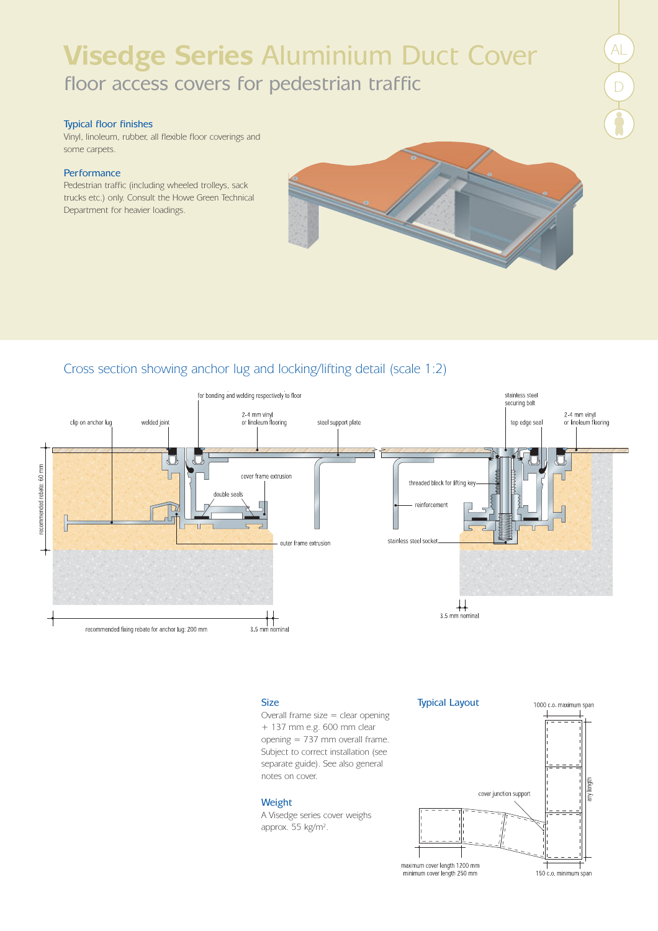## **Visedge Series** Aluminium Duct Cover floor access covers for pedestrian traffic

#### Typical floor finishes

Vinyl, linoleum, rubber, all flexible floor coverings and some carpets.

#### **Performance**

Pedestrian traffic (including wheeled trolleys, sack trucks etc.) only. Consult the Howe Green Technical Department for heavier loadings.



### Cross section showing anchor lug and locking/lifting detail (scale 1:2)



Overall frame size  $=$  clear opening + 137 mm e.g. 600 mm clear opening = 737 mm overall frame. Subject to correct installation (see separate guide). See also general notes on cover.

#### Weight

A Visedge series cover weighs approx. 55 kg/m<sup>2</sup>.